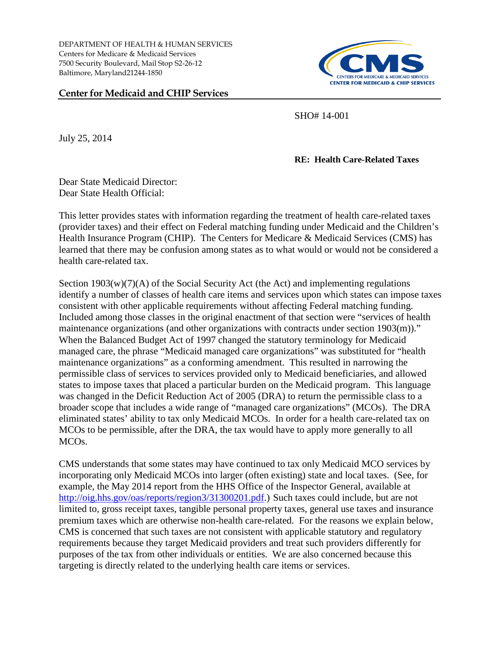DEPARTMENT OF HEALTH & HUMAN SERVICES Centers for Medicare & Medicaid Services 7500 Security Boulevard, Mail Stop S2-26-12 Baltimore, Maryland21244-1850

## **Center for Medicaid and CHIP Services**



SHO# 14-001

July 25, 2014

## **RE: Health Care-Related Taxes**

Dear State Medicaid Director: Dear State Health Official:

This letter provides states with information regarding the treatment of health care-related taxes (provider taxes) and their effect on Federal matching funding under Medicaid and the Children's Health Insurance Program (CHIP). The Centers for Medicare & Medicaid Services (CMS) has learned that there may be confusion among states as to what would or would not be considered a health care-related tax.

Section  $1903(w)(7)(A)$  of the Social Security Act (the Act) and implementing regulations identify a number of classes of health care items and services upon which states can impose taxes consistent with other applicable requirements without affecting Federal matching funding. Included among those classes in the original enactment of that section were "services of health maintenance organizations (and other organizations with contracts under section 1903(m))." When the Balanced Budget Act of 1997 changed the statutory terminology for Medicaid managed care, the phrase "Medicaid managed care organizations" was substituted for "health maintenance organizations" as a conforming amendment. This resulted in narrowing the permissible class of services to services provided only to Medicaid beneficiaries, and allowed states to impose taxes that placed a particular burden on the Medicaid program. This language was changed in the Deficit Reduction Act of 2005 (DRA) to return the permissible class to a broader scope that includes a wide range of "managed care organizations" (MCOs). The DRA eliminated states' ability to tax only Medicaid MCOs. In order for a health care-related tax on MCOs to be permissible, after the DRA, the tax would have to apply more generally to all MCOs.

CMS understands that some states may have continued to tax only Medicaid MCO services by incorporating only Medicaid MCOs into larger (often existing) state and local taxes. (See, for example, the May 2014 report from the HHS Office of the Inspector General, available at [http://oig.hhs.gov/oas/reports/region3/31300201.pdf.](http://oig.hhs.gov/oas/reports/region3/31300201.pdf)) Such taxes could include, but are not limited to, gross receipt taxes, tangible personal property taxes, general use taxes and insurance premium taxes which are otherwise non-health care-related. For the reasons we explain below, CMS is concerned that such taxes are not consistent with applicable statutory and regulatory requirements because they target Medicaid providers and treat such providers differently for purposes of the tax from other individuals or entities. We are also concerned because this targeting is directly related to the underlying health care items or services.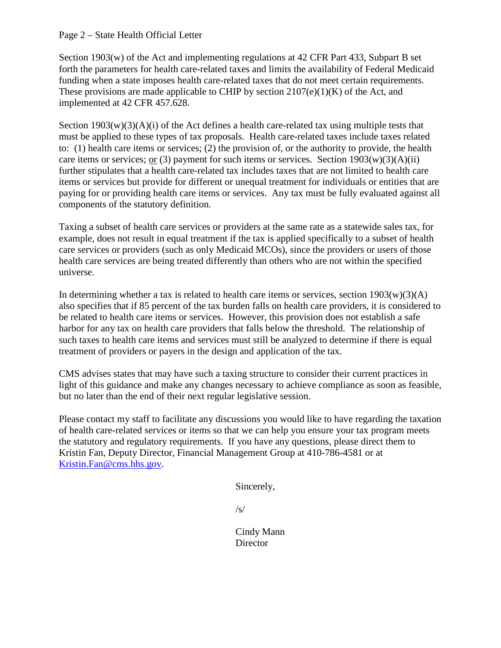## Page 2 – State Health Official Letter

Section 1903(w) of the Act and implementing regulations at 42 CFR Part 433, Subpart B set forth the parameters for health care-related taxes and limits the availability of Federal Medicaid funding when a state imposes health care-related taxes that do not meet certain requirements. These provisions are made applicable to CHIP by section  $2107(e)(1)(K)$  of the Act, and implemented at 42 CFR 457.628.

Section  $1903(w)(3)(A)(i)$  of the Act defines a health care-related tax using multiple tests that must be applied to these types of tax proposals. Health care-related taxes include taxes related to: (1) health care items or services; (2) the provision of, or the authority to provide, the health care items or services; or (3) payment for such items or services. Section  $1903(w)(3)(A)(ii)$ further stipulates that a health care-related tax includes taxes that are not limited to health care items or services but provide for different or unequal treatment for individuals or entities that are paying for or providing health care items or services. Any tax must be fully evaluated against all components of the statutory definition.

Taxing a subset of health care services or providers at the same rate as a statewide sales tax, for example, does not result in equal treatment if the tax is applied specifically to a subset of health care services or providers (such as only Medicaid MCOs), since the providers or users of those health care services are being treated differently than others who are not within the specified universe.

In determining whether a tax is related to health care items or services, section  $1903(w)(3)(A)$ also specifies that if 85 percent of the tax burden falls on health care providers, it is considered to be related to health care items or services. However, this provision does not establish a safe harbor for any tax on health care providers that falls below the threshold. The relationship of such taxes to health care items and services must still be analyzed to determine if there is equal treatment of providers or payers in the design and application of the tax.

CMS advises states that may have such a taxing structure to consider their current practices in light of this guidance and make any changes necessary to achieve compliance as soon as feasible, but no later than the end of their next regular legislative session.

Please contact my staff to facilitate any discussions you would like to have regarding the taxation of health care-related services or items so that we can help you ensure your tax program meets the statutory and regulatory requirements. If you have any questions, please direct them to Kristin Fan, Deputy Director, Financial Management Group at 410-786-4581 or at [Kristin.Fan@cms.hhs.gov.](mailto:Kristin.Fan@cms.hhs.gov)

Sincerely,

/s/

Cindy Mann **Director**